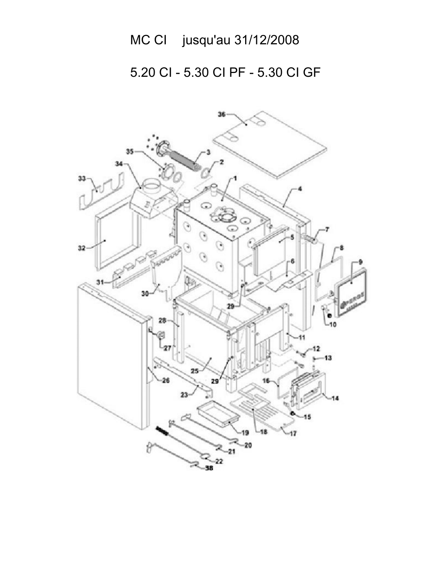## MC Cl jusqu'au 31/12/2008

5.20 CI - 5.30 CI PF - 5.30 CI GF